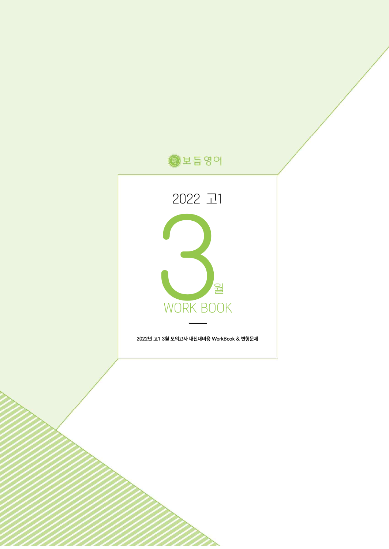

**2022년 고1 3월 모의고사 내신대비용 WorkBook & 변형문제**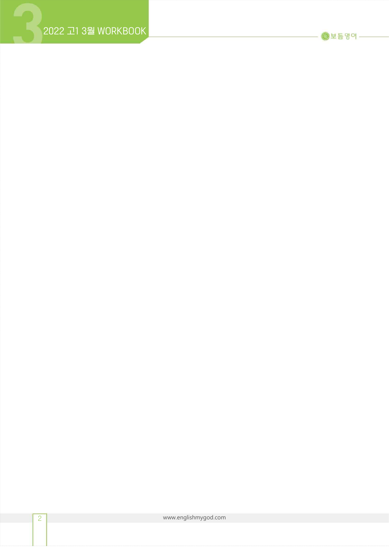보듬영어  $-$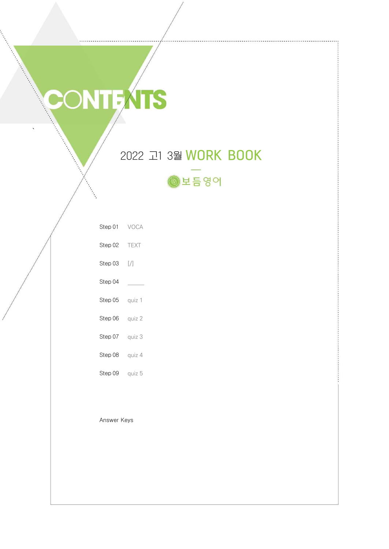# CONTENTS

 $\sum_{i=1}^n a_i$ 

# 2022 고1 3월 WORK BOOK



| Step 01 | VOCA            |
|---------|-----------------|
| Step 02 | <b>TEXT</b>     |
| Step 03 | $\left[\right]$ |
| Step 04 |                 |
| Step 05 | quiz 1          |
| Step 06 | quiz 2          |
| Step 07 | quiz 3          |
| Step 08 | quiz 4          |
| Step 09 | quiz 5          |
|         |                 |
|         |                 |

**Answer Keys**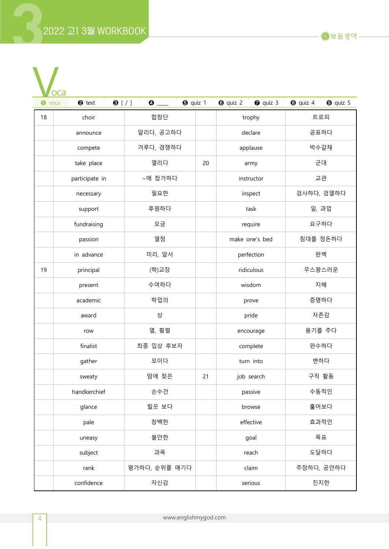$\bigcirc$ 보듬영어 $-$ 

| oca<br>$\bullet$ voca | <b>@</b> text  | $\Theta$ quiz 1<br>$\Theta$ [ / ]<br>$\bullet$ — |    | $\bullet$ quiz 2 | $\bullet$ quiz 3 | $\odot$ quiz 4 | $\odot$ quiz 5 |
|-----------------------|----------------|--------------------------------------------------|----|------------------|------------------|----------------|----------------|
| 18                    | choir          | 합창단                                              |    |                  | trophy           |                | 트로피            |
|                       | announce       | 알리다, 공고하다                                        |    |                  | declare          |                | 공표하다           |
|                       | compete        | 겨루다, 경쟁하다                                        |    |                  | applause         |                | 박수갈채           |
|                       | take place     | 열리다                                              | 20 |                  | army             |                | 군대             |
|                       | participate in | ~에 참가하다                                          |    |                  | instructor       |                | 교관             |
|                       | necessary      | 필요한                                              |    |                  | inspect          |                | 검사하다, 검열하다     |
|                       | support        | 후원하다                                             |    |                  | task             |                | 일, 과업          |
|                       | fundraising    | 모금                                               |    |                  | require          |                | 요구하다           |
|                       | passion        | 열정                                               |    | make one's bed   |                  | 침대를 정돈하다       |                |
|                       | in advance     | 미리, 앞서                                           |    | perfection       |                  | 완벽             |                |
| 19                    | principal      | (학)교장                                            |    | ridiculous       |                  | 우스꽝스러운         |                |
|                       | present        | 수여하다                                             |    | wisdom           |                  | 지혜             |                |
|                       | academic       | 학업의                                              |    |                  | prove            |                | 증명하다           |
|                       | award          | 상                                                |    |                  | pride            |                | 자존감            |
|                       | row            | 열, 횡렬                                            |    |                  | encourage        |                | 용기를 주다         |
|                       | finalist       | 최종 입상 후보자                                        |    |                  | complete         |                | 완수하다           |
|                       | gather         | 모이다                                              |    |                  | turn into        |                | 변하다            |
|                       | sweaty         | 땀에 젖은                                            | 21 |                  | job search       |                | 구직 활동          |
|                       | handkerchief   | 손수건                                              |    |                  | passive          |                | 수동적인           |
|                       | glance         | 힐끗 보다                                            |    |                  | browse           |                | 훑어보다           |
|                       | pale           | 창백한                                              |    |                  | effective        |                | 효과적인           |
|                       | uneasy         | 불안한                                              |    |                  | goal             |                | 목표             |
|                       | subject        | 과목                                               |    |                  | reach            |                | 도달하다           |
|                       | rank           | 평가하다, 순위를 매기다                                    |    |                  | claim            |                | 주장하다, 공언하다     |
|                       | confidence     | 자신감                                              |    |                  | serious          |                | 진지한            |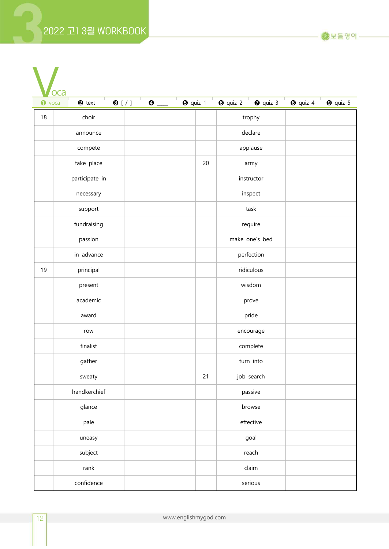$\overline{\mathbf{V}}$ 

 $③$ 보듬영어 $-$ 

| $\bullet$ voca | <b>2</b> text  | $\Theta$ [ / ]<br>$\bullet$ — | <b>O</b> quiz 1 | <b>O</b> quiz 2 | $\bullet$ quiz 3 | <b>3</b> quiz 4 | $\odot$ quiz 5 |
|----------------|----------------|-------------------------------|-----------------|-----------------|------------------|-----------------|----------------|
| 18             | choir          |                               |                 |                 | trophy           |                 |                |
|                | announce       |                               |                 |                 | declare          |                 |                |
|                | compete        |                               |                 |                 | applause         |                 |                |
|                | take place     |                               | 20              |                 | army             |                 |                |
|                | participate in |                               |                 |                 | instructor       |                 |                |
|                | necessary      |                               |                 |                 | inspect          |                 |                |
|                | support        |                               |                 |                 | task             |                 |                |
|                | fundraising    |                               |                 |                 | require          |                 |                |
|                | passion        |                               |                 |                 | make one's bed   |                 |                |
|                | in advance     |                               |                 |                 | perfection       |                 |                |
| 19             | principal      |                               |                 |                 | ridiculous       |                 |                |
|                | present        |                               |                 |                 | wisdom           |                 |                |
|                | academic       |                               |                 |                 | prove            |                 |                |
|                | award          |                               |                 |                 | pride            |                 |                |
|                | row            |                               |                 |                 | encourage        |                 |                |
|                | finalist       |                               |                 |                 | complete         |                 |                |
|                | gather         |                               |                 |                 | turn into        |                 |                |
|                | sweaty         |                               | 21              |                 | job search       |                 |                |
|                | handkerchief   |                               |                 |                 | passive          |                 |                |
|                | glance         |                               |                 |                 | browse           |                 |                |
|                | pale           |                               |                 |                 | effective        |                 |                |
|                | uneasy         |                               |                 |                 | goal             |                 |                |
|                | subject        |                               |                 |                 | reach            |                 |                |
|                | rank           |                               |                 |                 | claim            |                 |                |
|                | confidence     |                               |                 |                 | serious          |                 |                |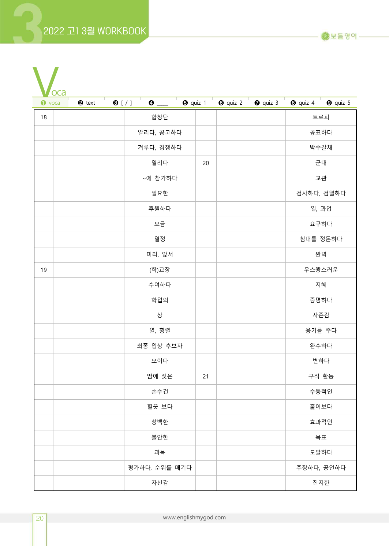| $\bullet$ voca | <b>@</b> text | $\Theta$ [ / ]<br>$\bullet$ — | <b>O</b> quiz 1 | <b>O</b> quiz 2 | $\bullet$ quiz 3 | $\Theta$ quiz 4<br>$\odot$ quiz 5 |
|----------------|---------------|-------------------------------|-----------------|-----------------|------------------|-----------------------------------|
| 18             |               | 합창단                           |                 |                 |                  | 트로피                               |
|                |               | 알리다, 공고하다                     |                 |                 |                  | 공표하다                              |
|                |               | 겨루다, 경쟁하다                     |                 |                 |                  | 박수갈채                              |
|                |               | 열리다                           | 20              |                 |                  | 군대                                |
|                |               | ~에 참가하다                       |                 |                 |                  | 교관                                |
|                |               | 필요한                           |                 |                 |                  | 검사하다, 검열하다                        |
|                |               | 후원하다                          |                 |                 |                  | 일, 과업                             |
|                |               | 모금                            |                 |                 |                  | 요구하다                              |
|                |               | 열정                            |                 |                 |                  | 침대를 정돈하다                          |
|                |               | 미리, 앞서                        |                 |                 |                  | 완벽                                |
| 19             |               | (학)교장                         |                 |                 |                  | 우스꽝스러운                            |
|                |               | 수여하다                          |                 |                 |                  | 지혜                                |
|                |               | 학업의                           |                 |                 |                  | 증명하다                              |
|                |               | 상                             |                 |                 |                  | 자존감                               |
|                |               | 열, 횡렬                         |                 |                 |                  | 용기를 주다                            |
|                |               | 최종 입상 후보자                     |                 |                 |                  | 완수하다                              |
|                |               | 모이다                           |                 |                 |                  | 변하다                               |
|                |               | 땀에 젖은                         | 21              |                 |                  | 구직 활동                             |
|                |               | 손수건                           |                 |                 |                  | 수동적인                              |
|                |               | 힐끗 보다                         |                 |                 |                  | 훑어보다                              |
|                |               | 창백한                           |                 |                 |                  | 효과적인                              |
|                |               | 불안한                           |                 |                 |                  | 목표                                |
|                |               | 과목                            |                 |                 |                  | 도달하다                              |
|                |               | 평가하다, 순위를 매기다                 |                 |                 |                  | 주장하다, 공언하다                        |
|                |               | 자신감                           |                 |                 |                  | 진지한                               |

 $\bigcirc$ 보듬영어 $-$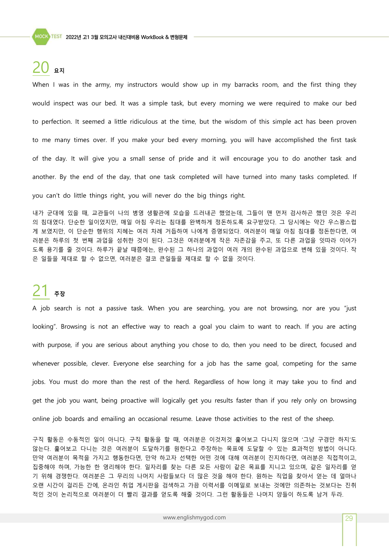# 20 **요지**

When I was in the army, my instructors would show up in my barracks room, and the first thing they would inspect was our bed. It was a simple task, but every morning we were required to make our bed to perfection. It seemed a little ridiculous at the time, but the wisdom of this simple act has been proven to me many times over. If you make your bed every morning, you will have accomplished the first task of the day. It will give you a small sense of pride and it will encourage you to do another task and another. By the end of the day, that one task completed will have turned into many tasks completed. If you can't do little things right, you will never do the big things right.

내가 군대에 있을 때, 교관들이 나의 병영 생활관에 모습을 드러내곤 했었는데, 그들이 맨 먼저 검사하곤 했던 것은 우리 의 침대였다. 단순한 일이었지만, 매일 아침 우리는 침대를 완벽하게 정돈하도록 요구받았다. 그 당시에는 약간 우스꽝스럽 게 보였지만, 이 단순한 행위의 지혜는 여러 차례 거듭하여 나에게 증명되었다. 여러분이 매일 아침 침대를 정돈한다면, 여 러분은 하루의 첫 번째 과업을 성취한 것이 된다. 그것은 여러분에게 작은 자존감을 주고, 또 다른 과업을 잇따라 이어가 도록 용기를 줄 것이다. 하루가 끝날 때쯤에는, 완수된 그 하나의 과업이 여러 개의 완수된 과업으로 변해 있을 것이다. 작 은 일들을 제대로 할 수 없으면, 여러분은 결코 큰일들을 제대로 할 수 없을 것이다.

# 21 **주장**

A job search is not a passive task. When you are searching, you are not browsing, nor are you "just looking". Browsing is not an effective way to reach a goal you claim to want to reach. If you are acting with purpose, if you are serious about anything you chose to do, then you need to be direct, focused and whenever possible, clever. Everyone else searching for a job has the same goal, competing for the same jobs. You must do more than the rest of the herd. Regardless of how long it may take you to find and get the job you want, being proactive will logically get you results faster than if you rely only on browsing online job boards and emailing an occasional resume. Leave those activities to the rest of the sheep.

구직 활동은 수동적인 일이 아니다. 구직 활동을 할 때, 여러분은 이것저것 훑어보고 다니지 않으며 '그냥 구경만 하지'도 않는다. 훑어보고 다니는 것은 여러분이 도달하기를 원한다고 주장하는 목표에 도달할 수 있는 효과적인 방법이 아니다.<br>만약 여러분이 목적을 가지고 행동한다면, 만약 하고자 선택한 어떤 것에 대해 여러분이 진지하다면, 여러분은 직접적이고,<br>집중해야 하며, 가능한 한 영리해야 한다. 일자리를 찾는 다른 모든 사람이 같은 목표를 지니고 있으며, 같은 일자리를 얻 기 위해 경쟁한다. 여러분은 그 무리의 나머지 사람들보다 더 많은 것을 해야 한다. 원하는 직업을 찾아서 얻는 데 얼마나 오랜 시간이 걸리든 간에, 온라인 취업 게시판을 검색하고 가끔 이력서를 이메일로 보내는 것에만 의존하는 것보다는 진취 적인 것이 논리적으로 여러분이 더 빨리 결과를 얻도록 해줄 것이다. 그런 활동들은 나머지 양들이 하도록 남겨 두라.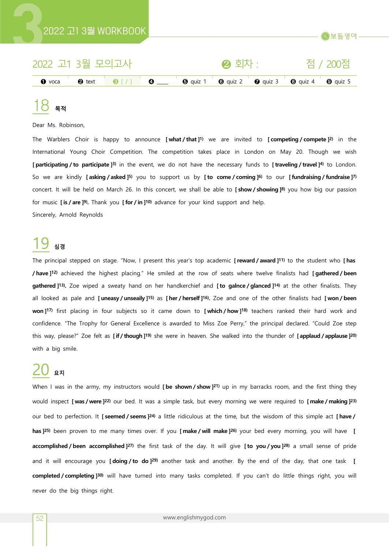# **18 목적**

Dear Ms. Robinson,

The Warblers Choir is happy to announce **[ what / that ]1)** we are invited to **[ competing / compete ]2)** in the International Young Choir Competition. The competition takes place in London on May 20. Though we wish **[ participating / to participate ]3)** in the event, we do not have the necessary funds to **[ traveling / travel ]4)** to London. So we are kindly [asking / asked ]<sup>5)</sup> you to support us by [to come / coming ]<sup>6)</sup> to our [fundraising / fundraise ]<sup>7)</sup> concert. It will be held on March 26. In this concert, we shall be able to **[ show / showing ]8)** you how big our passion for music **[ is / are ]9) .** Thank you **[ for / in ]10)** advance for your kind support and help. Sincerely, Arnold Reynolds

# $19$  심경

The principal stepped on stage. "Now, I present this year's top academic **[ reward / award ]11)** to the student who **[ has / have ]12)** achieved the highest placing." He smiled at the row of seats where twelve finalists had **[ gathered / been gathered ]13) .** Zoe wiped a sweaty hand on her handkerchief and **[to galnce / glanced ]14)** at the other finalists. They all looked as pale and [uneasy/unseaily]<sup>15)</sup> as [her/herself]<sup>16</sup>). Zoe and one of the other finalists had [won/been **won ]17)** first placing in four subjects so it came down to **[ which / how ]18)** teachers ranked their hard work and confidence. "The Trophy for General Excellence is awarded to Miss Zoe Perry," the principal declared. "Could Zoe step this way, please?" Zoe felt as **[ if / though ]19)** she were in heaven. She walked into the thunder of **[ applaud / applause ]20)** with a big smile.

# 20 **요지**

When I was in the army, my instructors would **[ be shown / show ]21)** up in my barracks room, and the first thing they would inspect **[ was / were ]22)** our bed. It was a simple task, but every morning we were required to **[ make / making ]23)** our bed to perfection. It **[ seemed / seems ]24)** a little ridiculous at the time, but the wisdom of this simple act **[ have / has ]25)** been proven to me many times over. If you **[ make / will make ]26)** your bed every morning, you will have **[ accomplished / been accomplished ]27)** the first task of the day. It will give **[to you / you ]28)** a small sense of pride and it will encourage you **[ doing / to do ]29)** another task and another. By the end of the day, that one task **[ completed / completing ]30)** will have turned into many tasks completed. If you can't do little things right, you will never do the big things right.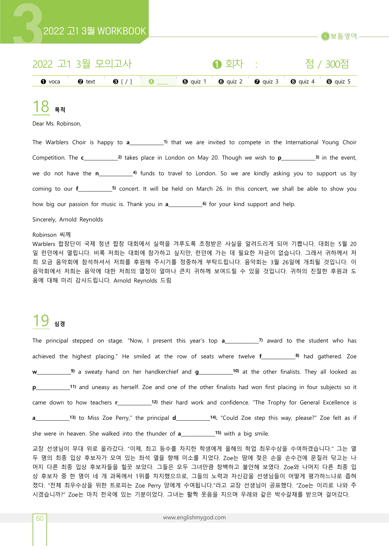### 2022 고1 3월 모의고사 ➊ 회차 : 점 / 300점  $\bullet$  voca  $\bullet$  text  $\bullet$  [ / ]  $\bullet$   $\bullet$   $\bullet$   $\bullet$   $\bullet$  quiz 1  $\bullet$   $\bullet$  quiz 3  $\bullet$   $\bullet$  quiz 4  $\bullet$   $\bullet$  quiz 5

### 18 **목적**

Dear Ms. Robinson,

The Warblers Choir is happy to **a\_\_\_\_\_\_\_\_\_\_\_\_\_\_1)** that we are invited to compete in the International Young Choir Competition. The **c\_\_\_\_\_\_\_\_\_\_\_\_\_\_2)** takes place in London on May 20. Though we wish to **p\_\_\_\_\_\_\_\_\_\_\_\_\_\_3)** in the event, we do not have the **n\_\_\_\_\_\_\_\_\_\_\_\_\_\_4)** funds to travel to London. So we are kindly asking you to support us by coming to our **f\_\_\_\_\_\_\_\_\_\_\_\_\_\_5)** concert. It will be held on March 26. In this concert, we shall be able to show you how big our passion for music is. Thank you in **a\_\_\_\_\_\_\_\_\_\_\_\_\_\_6)** for your kind support and help.

#### Sincerely, Arnold Reynolds

#### Robinson 씨께

Warblers 합창단이 국제 청년 합창 대회에서 실력을 겨루도록 초청받은 사실을 알려드리게 되어 기쁩니다. 대회는 5월 20 일 런던에서 열립니다. 비록 저희는 대회에 참가하고 싶지만, 런던에 가는 데 필요한 자금이 없습니다. 그래서 귀하께서 저 희 모금 음악회에 참석하셔서 저희를 후원해 주시기를 정중하게 부탁드립니다. 음악회는 3월 26일에 개최될 것입니다. 이 음악회에서 저희는 음악에 대한 저희의 열정이 얼마나 큰지 귀하께 보여드릴 수 있을 것입니다. 귀하의 친절한 후원과 도 움에 대해 미리 감사드립니다. Arnold Reynolds 드림

### 19 **심경**

| The principal stepped on stage. "Now, I present this year's top $a_{\text{max}}$ , 7 award to the student who has              |
|--------------------------------------------------------------------------------------------------------------------------------|
| achieved the highest placing." He smiled at the row of seats where twelve <b>f</b> ______________8) had gathered. Zoe          |
| w <sub>r</sub> 10 a sweaty hand on her handkerchief and g <sub>r-11</sub> and 10 at the other finalists. They all looked as    |
| p____________11) and uneasy as herself. Zoe and one of the other finalists had won first placing in four subjects so it        |
| came down to how teachers r_____________12) their hard work and confidence. "The Trophy for General Excellence is              |
| a____________13) to Miss Zoe Perry," the principal <b>d_____________14).</b> "Could Zoe step this way, please?" Zoe felt as if |
| she were in heaven. She walked into the thunder of <b>a</b> _____________15) with a big smile.                                 |

교장 선생님이 무대 위로 올라갔다. "이제, 최고 등수를 차지한 학생에게 올해의 학업 최우수상을 수여하겠습니다." 그는 열 두 명의 최종 입상 후보자가 모여 있는 좌석 열을 향해 미소를 지었다. Zoe는 땀에 젖은 손을 손수건에 문질러 닦고는 나 머지 다른 최종 입상 후보자들을 힐끗 보았다. 그들은 모두 그녀만큼 창백하고 불안해 보였다. Zoe와 나머지 다른 최종 입 상 후보자 중 한 명이 네 개 과목에서 1위를 차지했으므로, 그들의 노력과 자신감을 선생님들이 어떻게 평가하느냐로 좁혀 졌다. "전체 최우수상을 위한 트로피는 Zoe Perry 양에게 수여됩니다."라고 교장 선생님이 공표했다. "Zoe는 이리로 나와 주 시겠습니까?" Zoe는 마치 천국에 있는 기분이었다. 그녀는 활짝 웃음을 지으며 우레와 같은 박수갈채를 받으며 걸어갔다.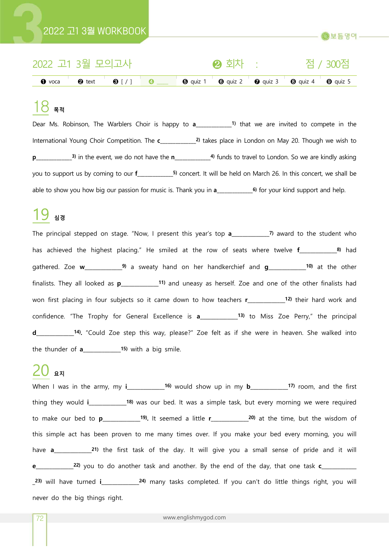# **18 목적**

Dear Ms. Robinson, The Warblers Choir is happy to **a\_\_\_\_\_\_\_\_\_\_\_\_\_\_1)** that we are invited to compete in the International Young Choir Competition. The **c\_\_\_\_\_\_\_\_\_\_\_\_\_\_2)** takes place in London on May 20. Though we wish to **p\_\_\_\_\_\_\_\_\_\_\_\_\_\_3)** in the event, we do not have the **n\_\_\_\_\_\_\_\_\_\_\_\_\_\_4)** funds to travel to London. So we are kindly asking you to support us by coming to our **f\_\_\_\_\_\_\_\_\_\_\_\_\_\_5)** concert. It will be held on March 26. In this concert, we shall be able to show you how big our passion for music is. Thank you in **a\_\_\_\_\_\_\_\_\_\_\_\_\_\_6)** for your kind support and help.

# $19$  심경

The principal stepped on stage. "Now, I present this year's top **a\_\_\_\_\_\_\_\_\_\_\_\_\_\_7)** award to the student who has achieved the highest placing." He smiled at the row of seats where twelve **f\_\_\_\_\_\_\_\_\_\_\_\_\_\_8)** had gathered. Zoe **w\_\_\_\_\_\_\_\_\_\_\_\_\_\_9)** a sweaty hand on her handkerchief and **g\_\_\_\_\_\_\_\_\_\_\_\_\_\_10)** at the other finalists. They all looked as **p\_\_\_\_\_\_\_\_\_\_\_\_\_\_11)** and uneasy as herself. Zoe and one of the other finalists had won first placing in four subjects so it came down to how teachers **r\_\_\_\_\_\_\_\_\_\_\_\_\_\_12)** their hard work and confidence. "The Trophy for General Excellence is **a\_\_\_\_\_\_\_\_\_\_\_\_\_\_13)** to Miss Zoe Perry," the principal **d\_\_\_\_\_\_\_\_\_\_\_\_\_\_14) .** "Could Zoe step this way, please?" Zoe felt as if she were in heaven. She walked into the thunder of **a\_\_\_\_\_\_\_\_\_\_\_\_\_\_15)** with a big smile.

# 20 **요지**

When I was in the army, my **i\_\_\_\_\_\_\_\_\_\_\_\_\_\_16)** would show up in my **b\_\_\_\_\_\_\_\_\_\_\_\_\_\_17)** room, and the first thing they would **i\_\_\_\_\_\_\_\_\_\_\_\_\_\_18)** was our bed. It was a simple task, but every morning we were required to make our bed to **p\_\_\_\_\_\_\_\_\_\_\_\_\_\_19) .** It seemed a little **r\_\_\_\_\_\_\_\_\_\_\_\_\_\_20)** at the time, but the wisdom of this simple act has been proven to me many times over. If you make your bed every morning, you will have **a\_\_\_\_\_\_\_\_\_\_\_\_\_\_21)** the first task of the day. It will give you a small sense of pride and it will **e\_\_\_\_\_\_\_\_\_\_\_\_\_\_22)** you to do another task and another. By the end of the day, that one task **c\_\_\_\_\_\_\_\_\_\_\_\_\_ \_23)** will have turned **i\_\_\_\_\_\_\_\_\_\_\_\_\_\_24)** many tasks completed. If you can't do little things right, you will never do the big things right.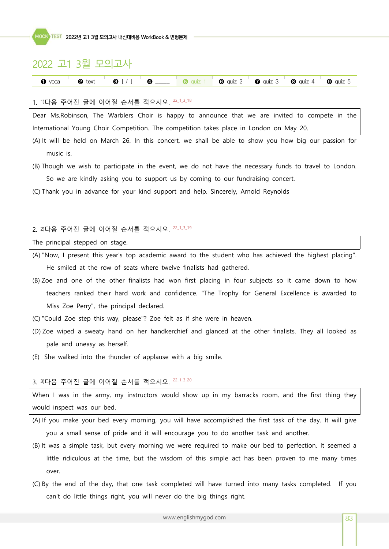| <b>2</b> text | $\Theta$ [/] |                 |                                              | $\bullet$ quiz 3                | $\theta$ quiz 4 | $\odot$ quiz 5                                                                                                                                                                                                                                                                                                                                                                                                                                                                                      |
|---------------|--------------|-----------------|----------------------------------------------|---------------------------------|-----------------|-----------------------------------------------------------------------------------------------------------------------------------------------------------------------------------------------------------------------------------------------------------------------------------------------------------------------------------------------------------------------------------------------------------------------------------------------------------------------------------------------------|
|               |              |                 |                                              |                                 |                 |                                                                                                                                                                                                                                                                                                                                                                                                                                                                                                     |
|               |              |                 |                                              |                                 |                 |                                                                                                                                                                                                                                                                                                                                                                                                                                                                                                     |
|               |              |                 |                                              |                                 |                 |                                                                                                                                                                                                                                                                                                                                                                                                                                                                                                     |
|               |              |                 |                                              |                                 |                 |                                                                                                                                                                                                                                                                                                                                                                                                                                                                                                     |
|               |              |                 |                                              |                                 |                 |                                                                                                                                                                                                                                                                                                                                                                                                                                                                                                     |
|               |              |                 |                                              |                                 |                 |                                                                                                                                                                                                                                                                                                                                                                                                                                                                                                     |
|               |              |                 |                                              |                                 |                 |                                                                                                                                                                                                                                                                                                                                                                                                                                                                                                     |
|               | music is.    | 2022 고1 3월 모의고사 | 1. 1) 다음 주어진 글에 이어질 순서를 적으시오. $^{22,1,3,18}$ | $\theta$ quiz 1 $\theta$ quiz 2 |                 | Dear Ms. Robinson, The Warblers Choir is happy to announce that we are invited to compete in the<br>International Young Choir Competition. The competition takes place in London on May 20.<br>(A) It will be held on March 26. In this concert, we shall be able to show you how big our passion for<br>(B) Though we wish to participate in the event, we do not have the necessary funds to travel to London.<br>So we are kindly asking you to support us by coming to our fundraising concert. |

(C) Thank you in advance for your kind support and help. Sincerely, Arnold Reynolds

#### 2. 2)다음 주어진 글에 이어질 순서를 적으시오. 22\_1\_3\_19

The principal stepped on stage.

- (A) "Now, I present this year's top academic award to the student who has achieved the highest placing". He smiled at the row of seats where twelve finalists had gathered.
- (B) Zoe and one of the other finalists had won first placing in four subjects so it came down to how teachers ranked their hard work and confidence. "The Trophy for General Excellence is awarded to Miss Zoe Perry", the principal declared.
- (C) "Could Zoe step this way, please"? Zoe felt as if she were in heaven.
- (D) Zoe wiped a sweaty hand on her handkerchief and glanced at the other finalists. They all looked as pale and uneasy as herself.
- (E) She walked into the thunder of applause with a big smile.

#### 3. 3) 다음 주어진 글에 이어질 순서를 적으시오. <sup>22\_1\_3\_20</sup>

When I was in the army, my instructors would show up in my barracks room, and the first thing they would inspect was our bed.

- (A) If you make your bed every morning, you will have accomplished the first task of the day. It will give you a small sense of pride and it will encourage you to do another task and another.
- (B) It was a simple task, but every morning we were required to make our bed to perfection. It seemed a little ridiculous at the time, but the wisdom of this simple act has been proven to me many times over.
- (C) By the end of the day, that one task completed will have turned into many tasks completed. If you can't do little things right, you will never do the big things right.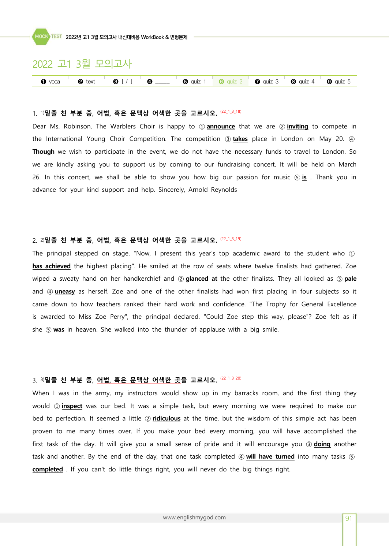|                | 2022 고1 3월 모의고사 |                                                                                                               |  |  |  |
|----------------|-----------------|---------------------------------------------------------------------------------------------------------------|--|--|--|
| $\bullet$ voca | <b>2</b> text   | <b>8</b> $[/ ]$ <b>0</b> ____ <b>6</b> quiz 1 <b>0</b> quiz 2 <b>0</b> quiz 3 <b>0</b> quiz 4 <b>0</b> quiz 5 |  |  |  |

#### 1. <sup>1)</sup>밑줄 친 부분 중, <u>어법, 혹은 문맥상 어색한 곳</u>을 고르시오. <sup>(22\_1\_3\_18)</sup>

Dear Ms. Robinson, The Warblers Choir is happy to ① **announce** that we are ② **inviting** to compete in the International Young Choir Competition. The competition ③ **takes** place in London on May 20. ④ **Though** we wish to participate in the event, we do not have the necessary funds to travel to London. So we are kindly asking you to support us by coming to our fundraising concert. It will be held on March 26. In this concert, we shall be able to show you how big our passion for music ⑤ **is** . Thank you in advance for your kind support and help. Sincerely, Arnold Reynolds

#### 2. 2)**밑줄 친 부분 중, <u>어법, 혹은 문맥상 어색한 곳</u>을 고르시오. <sup>(22\_1\_3\_19)**</sup>

The principal stepped on stage. "Now, I present this year's top academic award to the student who ① **has achieved** the highest placing". He smiled at the row of seats where twelve finalists had gathered. Zoe wiped a sweaty hand on her handkerchief and ② **glanced at** the other finalists. They all looked as ③ **pale** and ④ **uneasy**as herself. Zoe and one of the other finalists had won first placing in four subjects so it came down to how teachers ranked their hard work and confidence. "The Trophy for General Excellence is awarded to Miss Zoe Perry", the principal declared. "Could Zoe step this way, please"? Zoe felt as if she ⑤ **was** in heaven. She walked into the thunder of applause with a big smile.

#### 3. <sup>3)</sup>**밑줄 친 부분 중, <u>어법, 혹은 문맥상 어색한 곳</u>을 고르시오. <sup>(22\_1\_3\_20)**</sup>

When I was in the army, my instructors would show up in my barracks room, and the first thing they would ① **inspect** was our bed. It was a simple task, but every morning we were required to make our bed to perfection. It seemed a little ② **ridiculous** at the time, but the wisdom of this simple act has been proven to me many times over. If you make your bed every morning, you will have accomplished the first task of the day. It will give you a small sense of pride and it will encourage you ③ **doing** another task and another. By the end of the day, that one task completed ④ **will have turned** into many tasks ⑤ **completed** . If you can't do little things right, you will never do the big things right.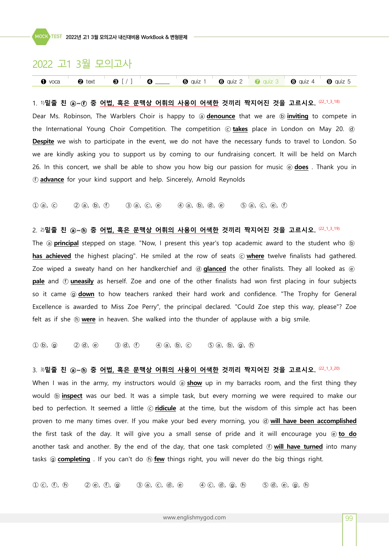#### 2022 고1 3월 모의고사

| $\bigcup$ voca | ø<br>text |  | $\mathbf{z}$ | auiz<br>6 | 6<br>auiz | ≀ul∠ | 63<br>auiz | auiz<br>9 |
|----------------|-----------|--|--------------|-----------|-----------|------|------------|-----------|
|----------------|-----------|--|--------------|-----------|-----------|------|------------|-----------|

#### 1. <sup>1)</sup>밑줄 친 <mark>@~⊕ 중 <u>어법,</u> 혹은 문맥상 어휘의 사용이 어색한</mark> 것끼리 짝지어진 것을 고르시오. <sup>(22\_1\_3\_18)</sup>

Dear Ms. Robinson, The Warblers Choir is happy to ⓐ **denounce** that we are ⓑ **inviting** to compete in the International Young Choir Competition. The competition ⓒ **takes** place in London on May 20. ⓓ Despite we wish to participate in the event, we do not have the necessary funds to travel to London. So we are kindly asking you to support us by coming to our fundraising concert. It will be held on March 26. In this concert, we shall be able to show you how big our passion for music ⓔ **does** . Thank you in ⓕ **advance** for your kind support and help. Sincerely, Arnold Reynolds

① ⓐ, ⓒ ② ⓐ, ⓑ, ⓕ ③ ⓐ, ⓒ, ⓔ ④ ⓐ, ⓑ, ⓓ, ⓔ ⑤ ⓐ, ⓒ, ⓔ, ⓕ

#### 2. <sup>2)</sup>밑줄 친 <mark>@~</mark>ட 중 어법, 혹은 문맥상 어휘의 사용이 어색한 것끼리 짝지어진 것을 고르시오. <sup>(22\_1\_3\_19)</sup>

The @ **principal** stepped on stage. "Now, I present this year's top academic award to the student who *D* has achieved the highest placing". He smiled at the row of seats © where twelve finalists had gathered. Zoe wiped a sweaty hand on her handkerchief and @ **glanced** the other finalists. They all looked as @ **pale** and ⓕ **uneasily** as herself. Zoe and one of the other finalists had won first placing in four subjects so it came @ **down** to how teachers ranked their hard work and confidence. "The Trophy for General Excellence is awarded to Miss Zoe Perry", the principal declared. "Could Zoe step this way, please"? Zoe felt as if she *i* were in heaven. She walked into the thunder of applause with a big smile.

 $(1)$   $(6)$ ,  $(9)$   $(2)$   $(d)$ ,  $(e)$   $(3)$   $(d)$ ,  $(f)$   $(4)$   $(a)$ ,  $(6)$ ,  $(6)$   $(5)$   $(5)$ ,  $(6)$ ,  $(6)$ ,  $(7)$ 

#### 3. 3)**밑줄 친 @~**ட 중 <u>어법, 혹은 문맥상 어휘의 사용이 어색한</u> 것끼리 짝지어진 것을 고르시오. <sup>(22\_1\_3\_20)</sup>

When I was in the army, my instructors would a **show** up in my barracks room, and the first thing they would ⓑ **inspect** was our bed. It was a simple task, but every morning we were required to make our bed to perfection. It seemed a little © **ridicule** at the time, but the wisdom of this simple act has been proven to me many times over. If you make your bed every morning, you ⓓ **will have been accomplished** the first task of the day. It will give you a small sense of pride and it will encourage you ⓔ **to do** another task and another. By the end of the day, that one task completed ⓕ **will have turned** into many tasks *i* **completing** . If you can't do *i* few things right, you will never do the big things right.

 $(1)$   $(0)$ ,  $(1)$ ,  $(1)$ ,  $(1)$ ,  $(2)$   $(3)$ ,  $(3)$ ,  $(4)$ ,  $(5)$ ,  $(6)$ ,  $(6)$ ,  $(7)$ ,  $(8)$ ,  $(9)$ ,  $(1)$ ,  $(1)$ ,  $(1)$ ,  $(1)$ ,  $(1)$ ,  $(1)$ ,  $(1)$ ,  $(1)$ ,  $(1)$ ,  $(1)$ ,  $(1)$ ,  $(1)$ ,  $(1)$ ,  $(1)$ ,  $(1)$ ,  $(1)$ ,  $(1)$ ,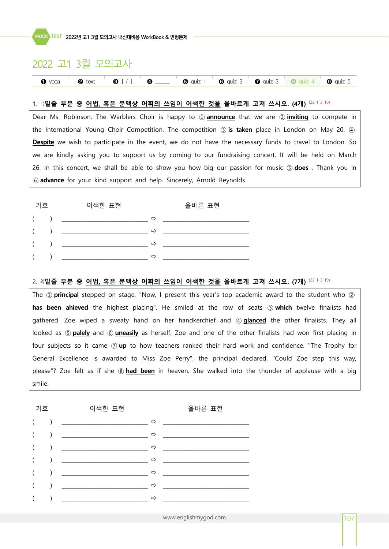#### 2022 고1 3월 모의고사

| 6<br>ø<br>O<br>quiz<br>-65<br>text<br>વ્ય<br><b>auiz</b><br><b>TOT</b><br>quiz<br>voca<br>. .<br>$\overline{a}$<br>. .<br>14 I Z<br><u>_</u> |
|----------------------------------------------------------------------------------------------------------------------------------------------|
|----------------------------------------------------------------------------------------------------------------------------------------------|

#### 1. 1)**밑줄 부분 중 <u>어법, 혹은 문맥상 어휘의 쓰임이 어색한 것을</u> 올바르게 고쳐 쓰시오. (4개) <sup>(22\_1\_3\_18)**</sup>

Dear Ms. Robinson, The Warblers Choir is happy to ① **announce** that we are ② **inviting** to compete in the International Young Choir Competition. The competition ③ **is taken** place in London on May 20. ④ **Despite** we wish to participate in the event, we do not have the necessary funds to travel to London. So we are kindly asking you to support us by coming to our fundraising concert. It will be held on March 26. In this concert, we shall be able to show you how big our passion for music ⑤ **does** . Thank you in ⑥ **advance** for your kind support and help. Sincerely, Arnold Reynolds

| 기호 | 어색한 표현                                       |   | 올바른 표현 |  |
|----|----------------------------------------------|---|--------|--|
|    |                                              | ⇨ |        |  |
|    | the control of the control of the control of | ⇨ |        |  |
|    |                                              | ⇨ |        |  |
|    |                                              | ⇨ |        |  |

#### 2. <sup>2)</sup>밑줄 부분 중 <u>어법, 혹은 문맥상 어휘의 쓰임이 어색한 것을</u> 올바르게 고쳐 쓰시오. (7개) <sup>(22\_1\_3\_19)</sup>

The (1) **principal** stepped on stage. "Now, I present this year's top academic award to the student who (2) **has been ahieved** the highest placing". He smiled at the row of seats ③ **which**twelve finalists had gathered. Zoe wiped a sweaty hand on her handkerchief and ④ **glanced** the other finalists. They all looked as ⑤ **palely** and ⑥ **uneasily** as herself. Zoe and one of the other finalists had won first placing in four subjects so it came ⑦ **up** to how teachers ranked their hard work and confidence. "The Trophy for General Excellence is awarded to Miss Zoe Perry", the principal declared. "Could Zoe step this way, please"? Zoe felt as if she ⑧ **had been** in heaven. She walked into the thunder of applause with a big smile.

| 기호 | 어색한 표현                                                                                                               |               | 올바른 표현 |
|----|----------------------------------------------------------------------------------------------------------------------|---------------|--------|
|    |                                                                                                                      | $\Rightarrow$ |        |
|    | <u> 1989 - Johann John Stone, mars eta bat eta bat eta bat eta bat eta bat eta bat eta bat eta bat eta bat eta b</u> | $\Rightarrow$ |        |
|    |                                                                                                                      | $\Rightarrow$ |        |
|    |                                                                                                                      | $\Rightarrow$ |        |
|    |                                                                                                                      | $\Rightarrow$ |        |
|    |                                                                                                                      | $\Rightarrow$ |        |
|    |                                                                                                                      | $\Rightarrow$ |        |
|    |                                                                                                                      |               |        |

www.englishmygod.com **107**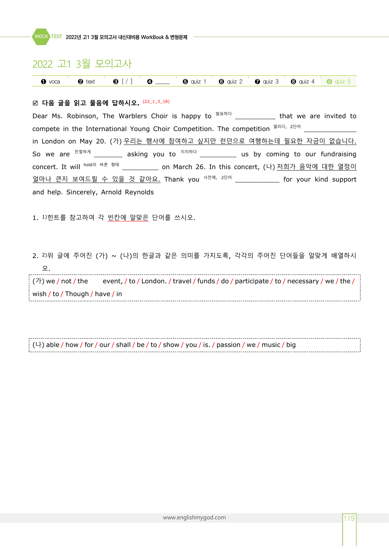| 2022 고1 3월 모의고사 |                                                                                                                                                       |  |  |  |
|-----------------|-------------------------------------------------------------------------------------------------------------------------------------------------------|--|--|--|
|                 | <b>0</b> voca $\bullet$ text $\bullet$ $[1]$ $\bullet$ $\bullet$ $\bullet$ quiz 1 $\bullet$ quiz 2 $\bullet$ quiz 3 $\bullet$ quiz 4 $\bullet$ quiz 5 |  |  |  |

#### þ **다음 글을 읽고 물음에 답하시오.**  (22\_1\_3\_18)

Dear Ms. Robinson, The Warblers Choir is happy to  $\frac{d}{dx}$  and the weare invited to compete in the International Young Choir Competition. The competition  $\frac{2dH}{dt}$ ,  $2EH$ in London on May 20. (가) 우리는 행사에 참여하고 싶지만 런던으로 여행하는데 필요한 자금이 없습니다. So we are  $\frac{d}{dx}$  asking you to  $\frac{d}{dx}$  as  $\frac{d}{dx}$  as by coming to our fundraising concert. It will hold의 바른 형태 \_\_\_\_\_\_\_\_\_\_\_ on March 26. In this concert, (나) <u>저희가 음악에 대한 열정이</u> 얼마나 큰지 보여드릴 수 있을 것 같아요. Thank you 사전에, 2단어 \_\_\_\_\_\_\_\_\_\_\_ for your kind support and help. Sincerely, Arnold Reynolds

1. 1)힌트를 참고하여 각 빈칸에 알맞은 단어를 쓰시오.

2. 2)위 글에 주어진 (가) ~ (나)의 한글과 같은 의미를 가지도록, 각각의 주어진 단어들을 알맞게 배열하시 오.

(가) we / not / the event, / to / London. / travel / funds / do / participate / to / necessary / we / the / wish / to / Though / have / in 

 $(L)$  able / how / for / our / shall / be / to / show / you / is. / passion / we / music / big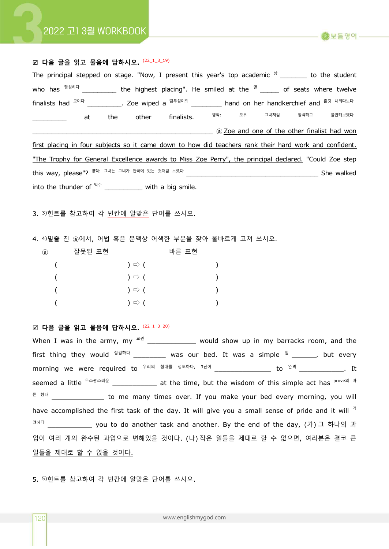

 $\circledcirc$ 보듬영어  $-$ 

4. 4)밑줄 친 ⓐ에서, 어법 혹은 문맥상 어색한 부분을 찾아 올바르게 고쳐 쓰시오.

| $\circledcirc$ | 잘못된 표현 |       | 바른 표현 |  |
|----------------|--------|-------|-------|--|
|                |        |       |       |  |
|                |        |       |       |  |
|                |        |       |       |  |
|                |        | ) ⇔ ( |       |  |

#### þ **다음 글을 읽고 물음에 답하시오.**  (22\_1\_3\_20)

When I was in the army, my  $\mathbb{R}^{\pm}$  \_\_\_\_\_\_\_\_\_\_\_\_\_\_ would show up in my barracks room, and the first thing they would  $\frac{d}{d}$   $\frac{d}{d}$   $\frac{d}{d}$  was our bed. It was a simple  $\frac{d}{d}$  \_\_\_\_\_, but every morning we were required to <sup>우리의 침대를 정도하다, 3단어 \_\_\_\_\_\_\_\_\_\_\_\_\_\_\_\_\_\_\_\_ to <sup>완벽</sup> \_\_\_\_\_\_\_\_\_\_\_\_\_\_\_. It</sup> seemed a little <sup>우스꽝스러운</sup> \_\_\_\_\_\_\_\_\_\_\_\_\_ at the time, but the wisdom of this simple act has <sup>prove의 바</sup> <sup>른 형태</sup> \_\_\_\_\_\_\_\_\_\_\_\_\_\_\_\_ to me many times over. If you make your bed every morning, you will have accomplished the first task of the day. It will give you a small sense of pride and it will <sup>2</sup> <sup>려하다</sup> \_\_\_\_\_\_\_\_\_\_\_\_\_\_\_\_\_ you to do another task and another. By the end of the day, (가)<u>그 하나의 과</u> 업이 여러 개의 완수된 과업으로 변해있을 것이다. (나) 작은 일들을 제대로 할 수 없으면, 여러분은 결코 큰 일들을 제대로 할 수 없을 것이다.

5. 5)힌트를 참고하여 각 빈칸에 알맞은 단어를 쓰시오.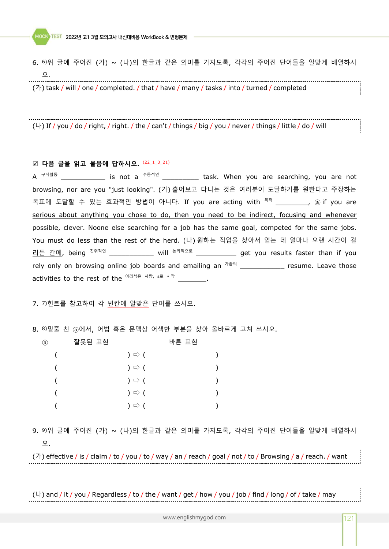6. 6)위 글에 주어진 (가) ~ (나)의 한글과 같은 의미를 가지도록, 각각의 주어진 단어들을 알맞게 배열하시 오. (가) task / will / one / completed. / that / have / many / tasks / into / turned / completed

(나) If / you / do / right, / right. / the / can't / things / big / you / never / things / little / do / will

#### þ **다음 글을 읽고 물음에 답하시오.**  (22\_1\_3\_21)

A  $7^{\text{N}}$ <sup> $\frac{2}{3}$ </sup>  $\frac{2}{3}$  is not a  $2^{\text{S}}$   $\frac{2}{3}$   $\frac{2}{3}$  task. When you are searching, you are not browsing, nor are you "just looking". (가) 훝어보고 다니는 것은 여러분이 도달하기를 원한다고 주장하는 목표에 도달할 수 있는 효과적인 방법이 아니다. If you are acting with 목적 \_\_\_\_\_\_\_\_, ⓐ if you are serious about anything you chose to do, then you need to be indirect, focusing and whenever possible, clever. Noone else searching for a job has the same goal, competed for the same jobs. You must do less than the rest of the herd. (나) 원하는 직업을 찾아서 얻는 데 얼마나 오랜 시간이 걸 <u>리든 간에</u>, being <sup>진취적인</sup> \_\_\_\_\_\_\_\_\_\_\_\_\_\_ will <sup>논리적으로</sup> \_\_\_\_\_\_\_\_\_\_\_\_\_ get you results faster than if you rely only on browsing online job boards and emailing an  $7^{\text{H2}}$  \_\_\_\_\_\_\_\_\_\_\_\_\_ resume. Leave those activities to the rest of the <sup>어리석은 사람, s로 시작</sup>

7. 7)힌트를 참고하여 각 빈칸에 알맞은 단어를 쓰시오.

8. 8)밑줄 친 ⓐ에서, 어법 혹은 문맥상 어색한 부분을 찾아 올바르게 고쳐 쓰시오.

| $\circledcirc$ | 잘못된 표현 |                       | 바른 표현 |  |
|----------------|--------|-----------------------|-------|--|
|                |        |                       |       |  |
|                |        | ) $\Rightarrow$ (     |       |  |
|                |        | ) $\Leftrightarrow$ ( |       |  |
|                |        |                       |       |  |
|                |        |                       |       |  |

9. 9)위 글에 주어진 (가) ~ (나)의 한글과 같은 의미를 가지도록, 각각의 주어진 단어들을 알맞게 배열하시 오.

(가) effective / is / claim / to / you / to / way / an / reach / goal / not / to / Browsing / a / reach. / want

 $(L)$  and / it / you / Regardless / to / the / want / get / how / you / job / find / long / of / take / may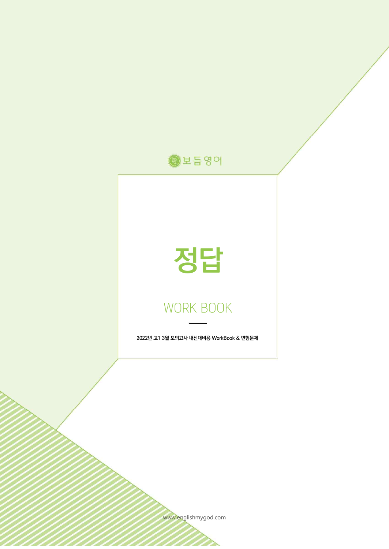



### WORK BOOK

**2022년 고1 3월 모의고사 내신대비용 WorkBook & 변형문제**

www.englishmygod.com **135**